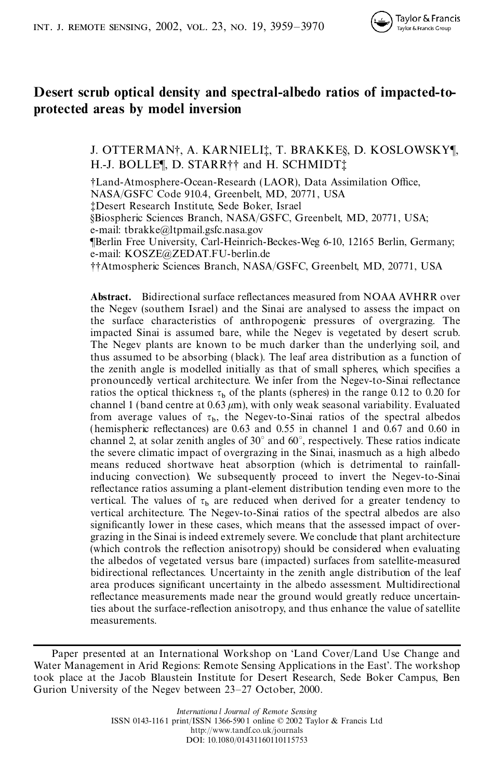

# **Desert scrub optical density and spectral-albedo ratios of impacted-toprotected areas by model inversion**

J. OTTERMAN†, A. KARNIELI‡, T. BRAKKE§, D. KOSLOWSKY¶, H.-J. BOLLE¶, D. STARR†† and H. SCHMIDT‡

†Land-Atmosphere-Ocean-Research (LAOR), Data Assimilation Office, NASA/GSFC Code 910.4, Greenbelt, MD, 20771, USA ‡Desert Research Institute, Sede Boker, Israel §Biospheric Sciences Branch, NASA/GSFC, Greenbelt, MD, 20771, USA; e-mail: tbrakke@ltpmail.gsfc.nasa.gov ¶Berlin Free University, Carl-Heinrich-Beckes-Weg 6-10, 12165 Berlin, Germany; e-mail: KOSZE@ZEDAT.FU-berlin.de ††Atmospheric Sciences Branch, NASA/GSFC, Greenbelt, MD, 20771, USA

**Abstract.** Bidirectional surface reflectances measured from NOAA AVHRR over the Negev (southern Israel) and the Sinai are analysed to assess the impact on the surface characteristics of anthropogenic pressures of overgrazing. The impacted Sinai is assumed bare, while the Negev is vegetated by desert scrub. The Negev plants are known to be much darker than the underlying soil, and thus assumed to be absorbing (black). The leaf area distribution as a function of the zenith angle is modelled initially as that of small spheres, which specifies a pronouncedly vertical architecture. We infer from the Negev-to-Sinai reflectance ratios the optical thickness  $\tau_b$  of the plants (spheres) in the range 0.12 to 0.20 for channel 1 (band centre at  $0.63 \mu m$ ), with only weak seasonal variability. Evaluated from average values of  $\tau_b$ , the Negev-to-Sinai ratios of the spectral albedos (hemispheric reflectances) are  $0.63$  and  $0.55$  in channel 1 and  $0.67$  and  $0.60$  in channel 2, at solar zenith angles of 30° and 60°, respectively. These ratios indicate the severe climatic impact of overgrazing in the Sinai, inasmuch as a high albedo means reduced shortwave heat absorption (which is detrimental to rainfallinducing convection). We subsequently proceed to invert the Negev-to-Sinai reflectance ratios assuming a plant-element distribution tending even more to the vertical. The values of  $\tau_b$  are reduced when derived for a greater tendency to vertical architecture. The Negev-to-Sinai ratios of the spectral albedos are also significantly lower in these cases, which means that the assessed impact of overgrazing in the Sinai is indeed extremely severe. We conclude that plant architecture (which controls the reflection anisotropy) should be considered when evaluating the albedos of vegetated versus bare (impacted) surfaces from satellite-measured bidirectional reflectances. Uncertainty in the zenith angle distribution of the leaf area produces signicant uncertainty in the albedo assessment. Multidirectional reflectance measurements made near the ground would greatly reduce uncertainties about the surface-reflection anisotropy, and thus enhance the value of satellite measurements.

Paper presented at an International Workshop on 'Land Cover/Land Use Change and Water Management in Arid Regions: Remote Sensing Applications in the East'. The workshop took place at the Jacob Blaustein Institute for Desert Research, Sede Boker Campus, Ben Gurion University of the Negev between 23–27 October, 2000.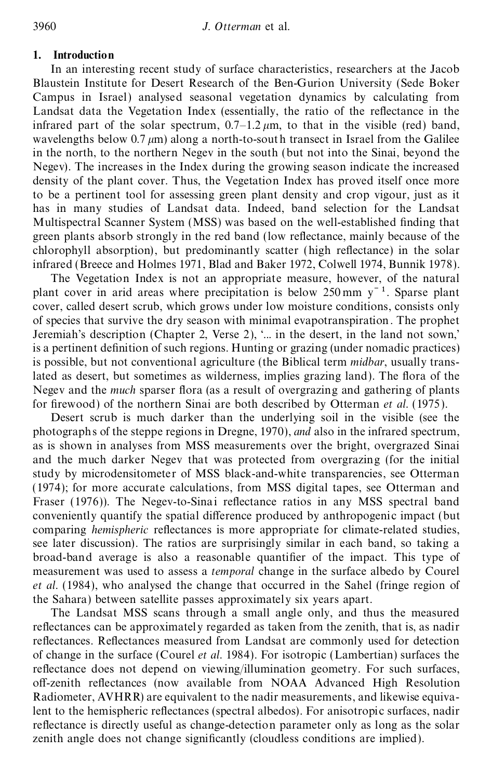# **1. Introduction**

In an interesting recent study of surface characteristics, researchers at the Jacob Blaustein Institute for Desert Research of the Ben-Gurion University (Sede Boker Campus in Israel) analysed seasonal vegetation dynamics by calculating from Landsat data the Vegetation Index (essentially, the ratio of the reflectance in the infrared part of the solar spectrum,  $0.7-1.2 \mu m$ , to that in the visible (red) band, wavelengths below 0.7  $\mu$ m) along a north-to-south transect in Israel from the Galilee in the north, to the northern Negev in the south (but not into the Sinai, beyond the Negev). The increases in the Index during the growing season indicate the increased density of the plant cover. Thus, the Vegetation Index has proved itself once more to be a pertinent tool for assessing green plant density and crop vigour, just as it has in many studies of Landsat data. Indeed, band selection for the Landsat Multispectral Scanner System (MSS) was based on the well-established finding that green plants absorb strongly in the red band (low reflectance, mainly because of the chlorophyll absorption), but predominantly scatter (high reflectance) in the solar infrared (Breece and Holmes 1971, Blad and Baker 1972, Colwell 1974, Bunnik 1978).

The Vegetation Index is not an appropriate measure, however, of the natural plant cover in arid areas where precipitation is below 250 mm  $v^{-1}$ . Sparse plant cover, called desert scrub, which grows under low moisture conditions, consists only of species that survive the dry season with minimal evapotranspiration . The prophet Jeremiah's description (Chapter 2, Verse 2), '... in the desert, in the land not sown,' is a pertinent definition of such regions. Hunting or grazing (under nomadic practices) is possible, but not conventional agriculture (the Biblical term *midbar*, usually translated as desert, but sometimes as wilderness, implies grazing land). The flora of the Negev and the *much* sparser flora (as a result of overgrazing and gathering of plants for firewood) of the northern Sinai are both described by Otterman *et al.* (1975).

Desert scrub is much darker than the underlying soil in the visible (see the photographs of the steppe regions in Dregne, 1970), *and* also in the infrared spectrum, as is shown in analyses from MSS measurements over the bright, overgrazed Sinai and the much darker Negev that was protected from overgrazing (for the initial study by microdensitometer of MSS black-and-white transparencies, see Otterman (1974); for more accurate calculations, from MSS digital tapes, see Otterman and Fraser (1976)). The Negev-to-Sinai reflectance ratios in any MSS spectral band conveniently quantify the spatial difference produced by anthropogenic impact (but comparing *hemispheric* reflectances is more appropriate for climate-related studies, see later discussion). The ratios are surprisingly similar in each band, so taking a broad-band average is also a reasonable quantifier of the impact. This type of measurement was used to assess a *temporal* change in the surface albedo by Courel *et al*. (1984), who analysed the change that occurred in the Sahel (fringe region of the Sahara) between satellite passes approximately six years apart.

The Landsat MSS scans through a small angle only, and thus the measured reflectances can be approximately regarded as taken from the zenith, that is, as nadir reflectances. Reflectances measured from Landsat are commonly used for detection of change in the surface (Courel *et al*. 1984). For isotropic (Lambertian) surfaces the reflectance does not depend on viewing/illumination geometry. For such surfaces, off-zenith reflectances (now available from NOAA Advanced High Resolution Radiometer, AVHRR) are equivalent to the nadir measurements, and likewise equivalent to the hemispheric reflectances (spectral albedos). For anisotropic surfaces, nadir reflectance is directly useful as change-detection parameter only as long as the solar zenith angle does not change significantly (cloudless conditions are implied).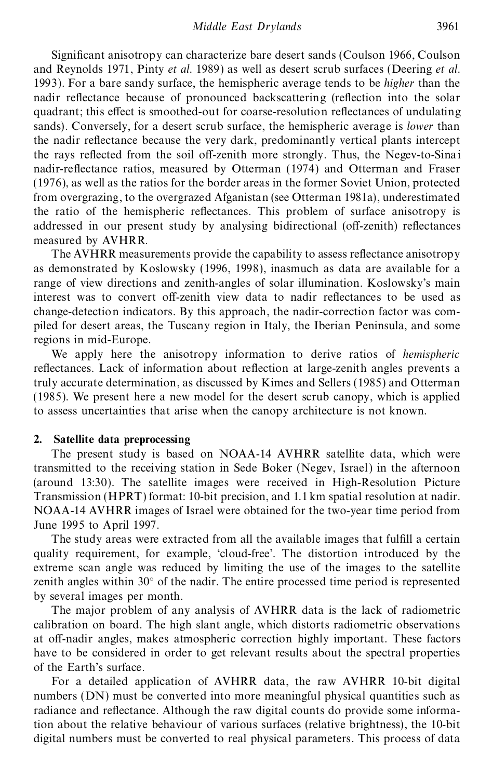Signicant anisotropy can characterize bare desert sands (Coulson 1966, Coulson and Reynolds 1971, Pinty *et al*. 1989) as well as desert scrub surfaces (Deering *et al*. 1993). For a bare sandy surface, the hemispheric average tends to be *higher* than the nadir reflectance because of pronounced backscattering (reflection into the solar quadrant; this effect is smoothed-out for coarse-resolution reflectances of undulating sands). Conversely, for a desert scrub surface, the hemispheric average is *lower* than the nadir reflectance because the very dark, predominantly vertical plants intercept the rays reflected from the soil off-zenith more strongly. Thus, the Negev-to-Sinai nadir-reflectance ratios, measured by Otterman (1974) and Otterman and Fraser (1976), as well as the ratios for the border areas in the former Soviet Union, protected from overgrazing, to the overgrazed Afganistan (see Otterman 1981a), underestimated the ratio of the hemispheric reflectances. This problem of surface anisotropy is addressed in our present study by analysing bidirectional (off-zenith) reflectances measured by AVHRR.

The AVHRR measurements provide the capability to assess reflectance anisotropy as demonstrated by Koslowsky (1996, 1998), inasmuch as data are available for a range of view directions and zenith-angles of solar illumination. Koslowsky's main interest was to convert off-zenith view data to nadir reflectances to be used as change-detection indicators. By this approach, the nadir-correction factor was compiled for desert areas, the Tuscany region in Italy, the Iberian Peninsula, and some regions in mid-Europe.

We apply here the anisotropy information to derive ratios of *hemispheric* reflectances. Lack of information about reflection at large-zenith angles prevents a truly accurate determination, as discussed by Kimes and Sellers (1985) and Otterman (1985). We present here a new model for the desert scrub canopy, which is applied to assess uncertainties that arise when the canopy architecture is not known.

## **2. Satellite data preprocessing**

The present study is based on NOAA-14 AVHRR satellite data, which were transmitted to the receiving station in Sede Boker (Negev, Israel) in the afternoon (around 13:30). The satellite images were received in High-Resolution Picture Transmission (HPRT) format: 10-bit precision, and 1.1 km spatial resolution at nadir. NOAA-14 AVHRR images of Israel were obtained for the two-year time period from June 1995 to April 1997.

The study areas were extracted from all the available images that fulfill a certain quality requirement, for example, 'cloud-free'. The distortion introduced by the extreme scan angle was reduced by limiting the use of the images to the satellite zenith angles within 30° of the nadir. The entire processed time period is represented by several images per month.

The major problem of any analysis of AVHRR data is the lack of radiometric calibration on board. The high slant angle, which distorts radiometric observations at off-nadir angles, makes atmospheric correction highly important. These factors have to be considered in order to get relevant results about the spectral properties of the Earth's surface.

For a detailed application of AVHRR data, the raw AVHRR 10-bit digital numbers (DN) must be converted into more meaningful physical quantities such as radiance and reflectance. Although the raw digital counts do provide some information about the relative behaviour of various surfaces (relative brightness), the 10-bit digital numbers must be converted to real physical parameters. This process of data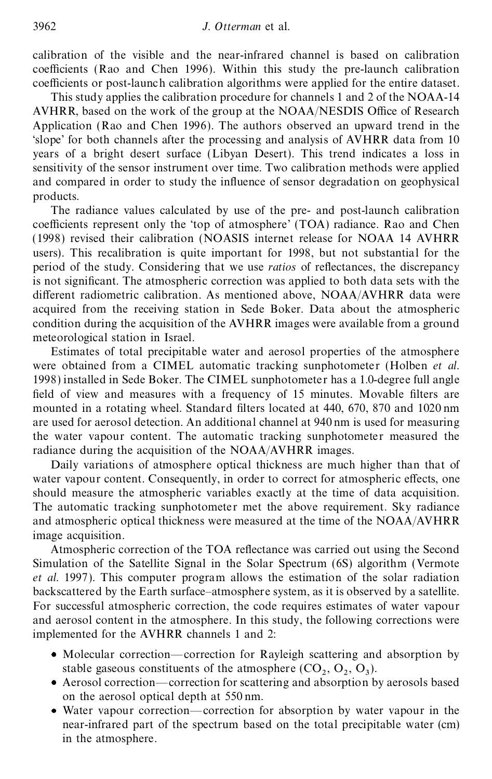calibration of the visible and the near-infrared channel is based on calibration coefficients (Rao and Chen 1996). Within this study the pre-launch calibration coefficients or post-launch calibration algorithms were applied for the entire dataset.

This study applies the calibration procedure for channels 1 and 2 of the NOAA-14 AVHRR, based on the work of the group at the NOAA/NESDIS Office of Research Application (Rao and Chen 1996). The authors observed an upward trend in the 'slope' for both channels after the processing and analysis of AVHRR data from 10 years of a bright desert surface (Libyan Desert). This trend indicates a loss in sensitivity of the sensor instrument over time. Two calibration methods were applied and compared in order to study the influence of sensor degradation on geophysical products.

The radiance values calculated by use of the pre- and post-launch calibration coefficients represent only the 'top of atmosphere' (TOA) radiance. Rao and Chen (1998) revised their calibration (NOASIS internet release for NOAA 14 AVHRR users). This recalibration is quite important for 1998, but not substantial for the period of the study. Considering that we use *ratios* of reflectances, the discrepancy is not signicant. The atmospheric correction was applied to both data sets with the different radiometric calibration. As mentioned above, NOAA/AVHRR data were acquired from the receiving station in Sede Boker. Data about the atmospheric condition during the acquisition of the AVHRR images were available from a ground meteorological station in Israel.

Estimates of total precipitable water and aerosol properties of the atmosphere were obtained from a CIMEL automatic tracking sunphotometer (Holben *et al*. 1998) installed in Sede Boker. The CIMEL sunphotometer has a 1.0-degree full angle field of view and measures with a frequency of 15 minutes. Movable filters are mounted in a rotating wheel. Standard filters located at 440, 670, 870 and 1020 nm are used for aerosol detection. An additional channel at 940 nm is used for measuring the water vapour content. The automatic tracking sunphotometer measured the radiance during the acquisition of the NOAA/AVHRR images.

Daily variations of atmosphere optical thickness are much higher than that of water vapour content. Consequently, in order to correct for atmospheric effects, one should measure the atmospheric variables exactly at the time of data acquisition. The automatic tracking sunphotometer met the above requirement. Sky radiance and atmospheric optical thickness were measured at the time of the NOAA/AVHRR image acquisition.

Atmospheric correction of the TOA reflectance was carried out using the Second Simulation of the Satellite Signal in the Solar Spectrum (6S) algorithm (Vermote *et al.* 1997). This computer program allows the estimation of the solar radiation backscattered by the Earth surface–atmosphere system, as it is observed by a satellite. For successful atmospheric correction, the code requires estimates of water vapour and aerosol content in the atmosphere. In this study, the following corrections were implemented for the AVHRR channels 1 and 2:

- Molecular correction—correction for Rayleigh scattering and absorption by stable gaseous constituents of the atmosphere  $(CO_2, O_2, O_3)$ .
- Aerosol correction—correction for scattering and absorption by aerosols based on the aerosol optical depth at 550 nm.
- Water vapour correction—correction for absorption by water vapour in the near-infrared part of the spectrum based on the total precipitable water (cm) in the atmosphere.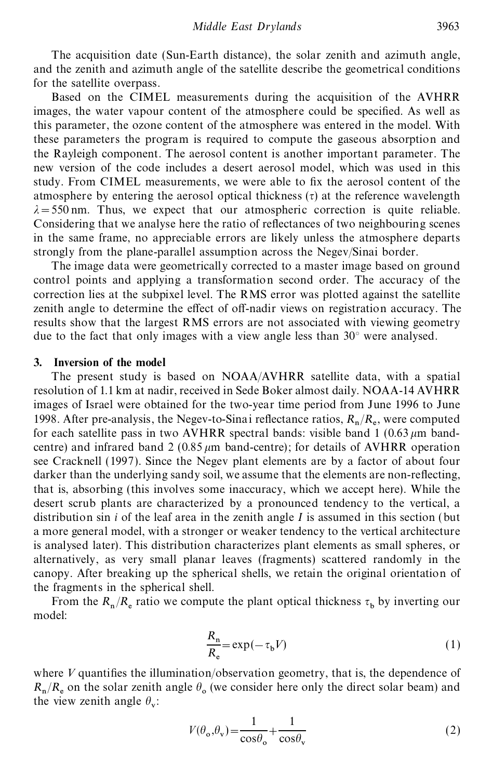The acquisition date (Sun-Earth distance), the solar zenith and azimuth angle, and the zenith and azimuth angle of the satellite describe the geometrical conditions for the satellite overpass.

Based on the CIMEL measurements during the acquisition of the AVHRR images, the water vapour content of the atmosphere could be specified. As well as this parameter, the ozone content of the atmosphere was entered in the model. With these parameters the program is required to compute the gaseous absorption and the Rayleigh component. The aerosol content is another important parameter. The new version of the code includes a desert aerosol model, which was used in this study. From CIMEL measurements, we were able to fix the aerosol content of the atmosphere by entering the aerosol optical thickness  $(\tau)$  at the reference wavelength  $\lambda = 550$  nm. Thus, we expect that our atmospheric correction is quite reliable. Considering that we analyse here the ratio of reflectances of two neighbouring scenes in the same frame, no appreciable errors are likely unless the atmosphere departs strongly from the plane-parallel assumption across the Negev/Sinai border.

The image data were geometrically corrected to a master image based on ground control points and applying a transformation second order. The accuracy of the correction lies at the subpixel level. The RMS error was plotted against the satellite zenith angle to determine the effect of off-nadir views on registration accuracy. The results show that the largest RMS errors are not associated with viewing geometry due to the fact that only images with a view angle less than 30° were analysed.

## **3. Inversion of the model**

The present study is based on NOAA/AVHRR satellite data, with a spatial resolution of 1.1 km at nadir, received in Sede Boker almost daily. NOAA-14 AVHRR images of Israel were obtained for the two-year time period from June 1996 to June 1998. After pre-analysis, the Negev-to-Sinai reflectance ratios,  $R_n/R_e$ , were computed for each satellite pass in two AVHRR spectral bands: visible band  $1 (0.63 \mu m)$  bandcentre) and infrared band 2 (0.85  $\mu$ m band-centre); for details of AVHRR operation see Cracknell (1997). Since the Negev plant elements are by a factor of about four darker than the underlying sandy soil, we assume that the elements are non-reflecting, that is, absorbing (this involves some inaccuracy, which we accept here). While the desert scrub plants are characterized by a pronounced tendency to the vertical, a distribution sin *i* of the leaf area in the zenith angle *I* is assumed in this section (but a more general model, with a stronger or weaker tendency to the vertical architecture is analysed later). This distribution characterizes plant elements as small spheres, or alternatively, as very small planar leaves (fragments) scattered randomly in the canopy. After breaking up the spherical shells, we retain the original orientation of the fragments in the spherical shell.

From the  $R_n/R_e$  ratio we compute the plant optical thickness  $\tau_b$  by inverting our model:

$$
\frac{R_{\rm n}}{R_{\rm e}} = \exp(-\tau_{\rm b}V) \tag{1}
$$

where *V* quantifies the illumination/observation geometry, that is, the dependence of  $R_n/R_e$  on the solar zenith angle  $\theta_o$  (we consider here only the direct solar beam) and the view zenith angle  $\theta_{\rm v}$ :

$$
V(\theta_{o}, \theta_{v}) = \frac{1}{\cos \theta_{o}} + \frac{1}{\cos \theta_{v}}
$$
 (2)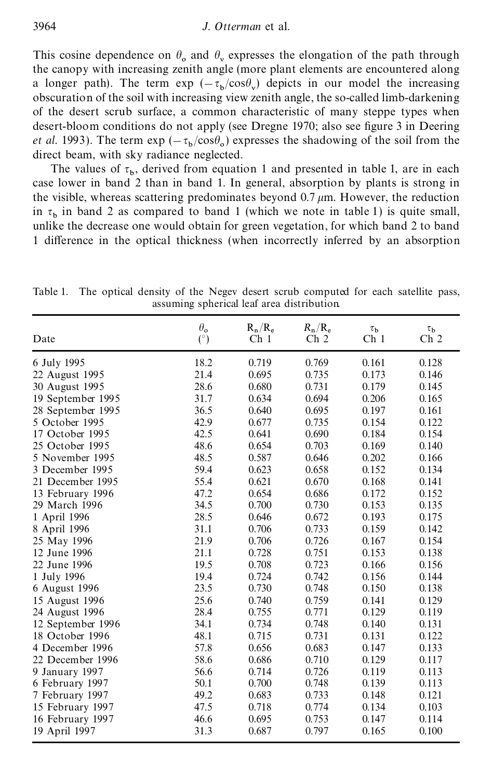This cosine dependence on  $\theta_0$  and  $\theta_v$  expresses the elongation of the path through the canopy with increasing zenith angle (more plant elements are encountered along a longer path). The term  $\exp(-\tau_b/\cos\theta_v)$  depicts in our model the increasing obscuration of the soil with increasing view zenith angle, the so-called limb-darkening of the desert scrub surface, a common characteristic of many steppe types when desert-bloom conditions do not apply (see Dregne 1970; also see figure 3 in Deering *et al.* 1993). The term  $\exp(-\tau_b/\cos\theta_o)$  expresses the shadowing of the soil from the direct beam, with sky radiance neglected.

The values of  $\tau_b$ , derived from equation 1 and presented in table 1, are in each case lower in band 2 than in band 1. In general, absorption by plants is strong in the visible, whereas scattering predominates beyond  $0.7 \mu m$ . However, the reduction in  $\tau_b$  in band 2 as compared to band 1 (which we note in table 1) is quite small, unlike the decrease one would obtain for green vegetation, for which band 2 to band 1 difference in the optical thickness (when incorrectly inferred by an absorption

|                   | $\theta_{o}$ | $R_n/R_e$       | $R_{\rm n}/R_{\rm e}$ | $\tau_{\rm b}$  | $\tau_{\rm b}$  |
|-------------------|--------------|-----------------|-----------------------|-----------------|-----------------|
| Date              | (°)          | Ch <sub>1</sub> | Ch <sub>2</sub>       | Ch <sub>1</sub> | Ch <sub>2</sub> |
| 6 July 1995       | 18.2         | 0.719           | 0.769                 | 0.161           | 0.128           |
| 22 August 1995    | 21.4         | 0.695           | 0.735                 | 0.173           | 0.146           |
| 30 August 1995    | 28.6         | 0.680           | 0.731                 | 0.179           | 0.145           |
| 19 September 1995 | 31.7         | 0.634           | 0.694                 | 0.206           | 0.165           |
| 28 September 1995 | 36.5         | 0.640           | 0.695                 | 0.197           | 0.161           |
| 5 October 1995    | 42.9         | 0.677           | 0.735                 | 0.154           | 0.122           |
| 17 October 1995   | 42.5         | 0.641           | 0.690                 | 0.184           | 0.154           |
| 25 October 1995   | 48.6         | 0.654           | 0.703                 | 0.169           | 0.140           |
| 5 November 1995   | 48.5         | 0.587           | 0.646                 | 0.202           | 0.166           |
| 3 December 1995   | 59.4         | 0.623           | 0.658                 | 0.152           | 0.134           |
| 21 December 1995  | 55.4         | 0.621           | 0.670                 | 0.168           | 0.141           |
| 13 February 1996  | 47.2         | 0.654           | 0.686                 | 0.172           | 0.152           |
| 29 March 1996     | 34.5         | 0.700           | 0.730                 | 0.153           | 0.135           |
| 1 April 1996      | 28.5         | 0.646           | 0.672                 | 0.193           | 0.175           |
| 8 April 1996      | 31.1         | 0.706           | 0.733                 | 0.159           | 0.142           |
| 25 May 1996       | 21.9         | 0.706           | 0.726                 | 0.167           | 0.154           |
| 12 June 1996      | 21.1         | 0.728           | 0.751                 | 0.153           | 0.138           |
| 22 June 1996      | 19.5         | 0.708           | 0.723                 | 0.166           | 0.156           |
| 1 July 1996       | 19.4         | 0.724           | 0.742                 | 0.156           | 0.144           |
| 6 August 1996     | 23.5         | 0.730           | 0.748                 | 0.150           | 0.138           |
| 15 August 1996    | 25.6         | 0.740           | 0.759                 | 0.141           | 0.129           |
| 24 August 1996    | 28.4         | 0.755           | 0.771                 | 0.129           | 0.119           |
| 12 September 1996 | 34.1         | 0.734           | 0.748                 | 0.140           | 0.131           |
| 18 October 1996   | 48.1         | 0.715           | 0.731                 | 0.131           | 0.122           |
| 4 December 1996   | 57.8         | 0.656           | 0.683                 | 0.147           | 0.133           |
| 22 December 1996  | 58.6         | 0.686           | 0.710                 | 0.129           | 0.117           |
| 9 January 1997    | 56.6         | 0.714           | 0.726                 | 0.119           | 0.113           |
| 6 February 1997   | 50.1         | 0.700           | 0.748                 | 0.139           | 0.113           |
| 7 February 1997   | 49.2         | 0.683           | 0.733                 | 0.148           | 0.121           |
| 15 February 1997  | 47.5         | 0.718           | 0.774                 | 0.134           | 0.103           |
| 16 February 1997  | 46.6         | 0.695           | 0.753                 | 0.147           | 0.114           |
| 19 April 1997     | 31.3         | 0.687           | 0.797                 | 0.165           | 0.100           |

Table 1. The optical density of the Negev desert scrub computed for each satellite pass, assuming spherical leaf area distribution.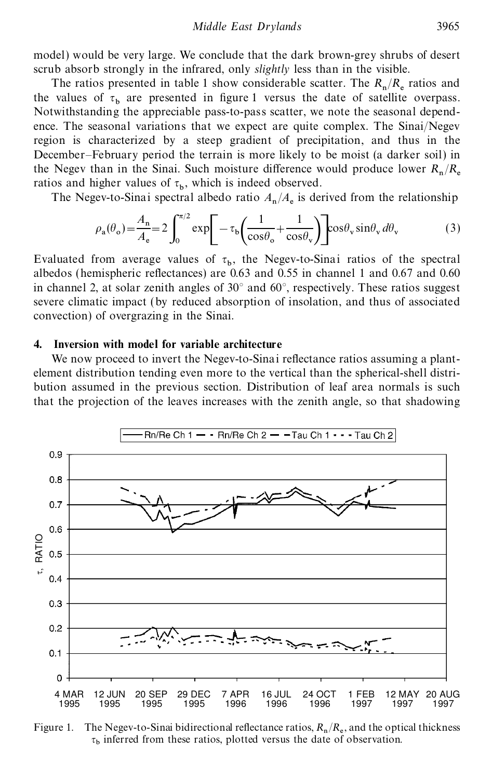model) would be very large. We conclude that the dark brown-grey shrubs of desert scrub absorb strongly in the infrared, only *slightly* less than in the visible.

The ratios presented in table 1 show considerable scatter. The  $R_n/R_e$  ratios and the values of  $\tau_b$  are presented in figure 1 versus the date of satellite overpass. Notwithstanding the appreciable pass-to-pass scatter, we note the seasonal dependence. The seasonal variations that we expect are quite complex. The Sinai/Negev region is characterized by a steep gradient of precipitation, and thus in the December–February period the terrain is more likely to be moist (a darker soil) in the Negev than in the Sinai. Such moisture difference would produce lower  $R_n/R_e$ ratios and higher values of  $\tau_b$ , which is indeed observed.

The Negev-to-Sinai spectral albedo ratio  $A_n/A_e$  is derived from the relationship

$$
\rho_{a}(\theta_{o}) = \frac{A_{n}}{A_{e}} = 2 \int_{0}^{\pi/2} \exp\left[-\tau_{b}\left(\frac{1}{\cos\theta_{o}} + \frac{1}{\cos\theta_{v}}\right)\right] \cos\theta_{v} \sin\theta_{v} d\theta_{v}
$$
(3)

Evaluated from average values of  $\tau_b$ , the Negev-to-Sinai ratios of the spectral albedos (hemispheric reflectances) are  $0.63$  and  $0.55$  in channel 1 and  $0.67$  and  $0.60$ in channel 2, at solar zenith angles of 30° and 60°, respectively. These ratios suggest severe climatic impact (by reduced absorption of insolation, and thus of associated convection) of overgrazing in the Sinai.

## **4. Inversion with model for variable architecture**

We now proceed to invert the Negev-to-Sinai reflectance ratios assuming a plantelement distribution tending even more to the vertical than the spherical-shell distribution assumed in the previous section. Distribution of leaf area normals is such that the projection of the leaves increases with the zenith angle, so that shadowing



Figure 1. The Negev-to-Sinai bidirectional reflectance ratios,  $R_n/R_e$ , and the optical thickness  $\tau_b$  inferred from these ratios, plotted versus the date of observation.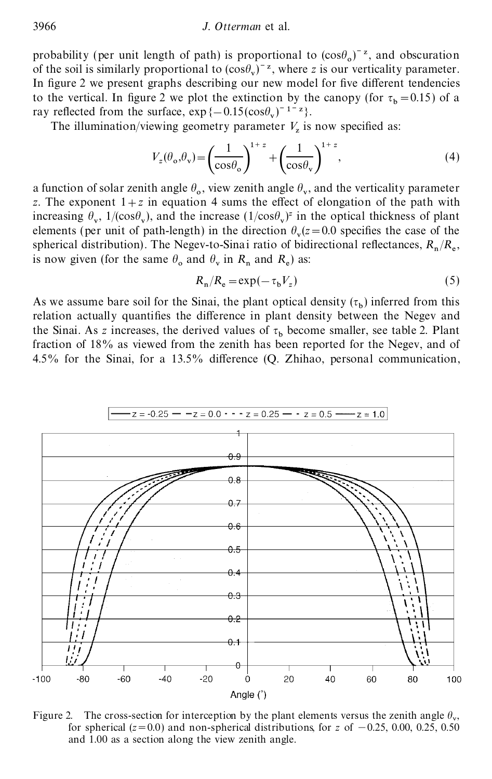probability (per unit length of path) is proportional to  $(cos\theta_o)^{-z}$ , and obscuration of the soil is similarly proportional to  $(cos \theta_v)^{-z}$ , where *z* is our verticality parameter. In figure 2 we present graphs describing our new model for five different tendencies to the vertical. In figure 2 we plot the extinction by the canopy (for  $\tau_b = 0.15$ ) of a ray reflected from the surface,  $\exp\{-0.15(\cos\theta_v)^{-1-z}\}.$ 

The illumination/viewing geometry parameter  $V_z$  is now specified as:

$$
V_z(\theta_\text{o}, \theta_\text{v}) = \left(\frac{1}{\cos \theta_\text{o}}\right)^{1+z} + \left(\frac{1}{\cos \theta_\text{v}}\right)^{1+z},\tag{4}
$$

a function of solar zenith angle  $\theta_{\rm o}$ , view zenith angle  $\theta_{\rm v}$ , and the verticality parameter *z*. The exponent  $1+z$  in equation 4 sums the effect of elongation of the path with increasing  $\theta_v$ , 1/(cos $\theta_v$ ), and the increase  $(1/\cos\theta_v)^z$  in the optical thickness of plant elements (per unit of path-length) in the direction  $\theta_v(z=0.0$  specifies the case of the spherical distribution). The Negev-to-Sinai ratio of bidirectional reflectances,  $R_n/R_e$ , is now given (for the same  $\theta_0$  and  $\theta_v$  in  $R_n$  and  $R_e$ ) as:

$$
R_{\rm n}/R_{\rm e} = \exp(-\tau_{\rm b}V_z) \tag{5}
$$

As we assume bare soil for the Sinai, the plant optical density  $(\tau_b)$  inferred from this relation actually quantifies the difference in plant density between the Negev and the Sinai. As *z* increases, the derived values of  $\tau_b$  become smaller, see table 2. Plant fraction of 18% as viewed from the zenith has been reported for the Negev, and of 4.5% for the Sinai, for a 13.5% difference  $(Q, Zhihao, personal communication,$ 



Figure 2. The cross-section for interception by the plant elements versus the zenith angle  $\theta_{v}$ for spherical ( $z=0.0$ ) and non-spherical distributions, for  $z$  of  $-0.25$ , 0.00, 0.25, 0.50 and 1.00 as a section along the view zenith angle.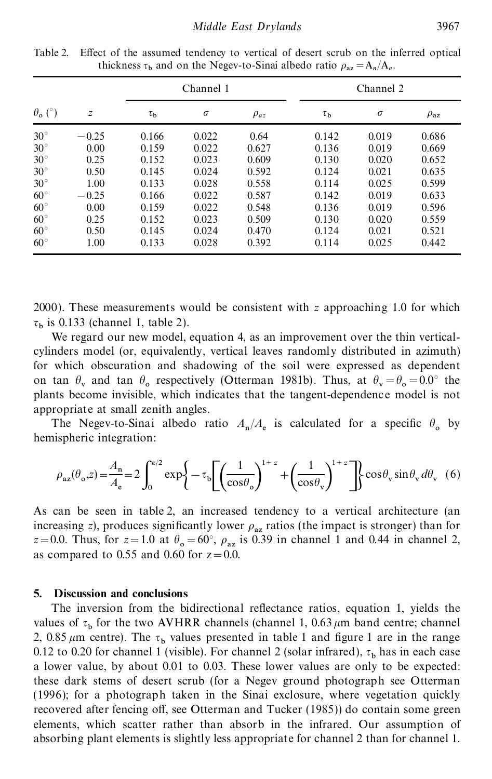|                      |               | Channel 1      |          |             | Channel 2      |          |                 |
|----------------------|---------------|----------------|----------|-------------|----------------|----------|-----------------|
| $\theta_{\rm o}$ (°) | $\mathcal{Z}$ | $\tau_{\rm b}$ | $\sigma$ | $\rho_{az}$ | $\tau_{\rm b}$ | $\sigma$ | $\rho_{\rm az}$ |
| $30^\circ$           | $-0.25$       | 0.166          | 0.022    | 0.64        | 0.142          | 0.019    | 0.686           |
| $30^\circ$           | 0.00          | 0.159          | 0.022    | 0.627       | 0.136          | 0.019    | 0.669           |
| $30^\circ$           | 0.25          | 0.152          | 0.023    | 0.609       | 0.130          | 0.020    | 0.652           |
| $30^\circ$           | 0.50          | 0.145          | 0.024    | 0.592       | 0.124          | 0.021    | 0.635           |
| $30^\circ$           | 1.00          | 0.133          | 0.028    | 0.558       | 0.114          | 0.025    | 0.599           |
| $60^{\circ}$         | $-0.25$       | 0.166          | 0.022    | 0.587       | 0.142          | 0.019    | 0.633           |
| $60^{\circ}$         | 0.00          | 0.159          | 0.022    | 0.548       | 0.136          | 0.019    | 0.596           |
| $60^{\circ}$         | 0.25          | 0.152          | 0.023    | 0.509       | 0.130          | 0.020    | 0.559           |
| $60^{\circ}$         | 0.50          | 0.145          | 0.024    | 0.470       | 0.124          | 0.021    | 0.521           |
| $60^{\circ}$         | 1.00          | 0.133          | 0.028    | 0.392       | 0.114          | 0.025    | 0.442           |

Table 2. Effect of the assumed tendency to vertical of desert scrub on the inferred optical thickness  $\tau_b$  and on the Negev-to-Sinai albedo ratio  $\rho_{az} = A_n/A_e$ .

2000). These measurements would be consistent with *z* approaching 1.0 for which  $\tau_b$  is 0.133 (channel 1, table 2).

We regard our new model, equation 4, as an improvement over the thin verticalcylinders model (or, equivalently, vertical leaves randomly distributed in azimuth) for which obscuration and shadowing of the soil were expressed as dependent on tan  $\theta_v$  and tan  $\theta_o$  respectively (Otterman 1981b). Thus, at  $\theta_v = \theta_o = 0.0^\circ$  the plants become invisible, which indicates that the tangent-dependence model is not appropriate at small zenith angles.

The Negev-to-Sinai albedo ratio  $A_n/A_e$  is calculated for a specific  $\theta_o$  by hemispheric integration:

$$
\rho_{az}(\theta_o, z) = \frac{A_n}{A_e} = 2 \int_0^{\pi/2} \exp\left\{-\tau_b \left[\left(\frac{1}{\cos \theta_o}\right)^{1+z} + \left(\frac{1}{\cos \theta_v}\right)^{1+z}\right]\right\} \cos \theta_v \sin \theta_v \, d\theta_v \tag{6}
$$

As can be seen in table 2, an increased tendency to a vertical architecture (an increasing *z*), produces significantly lower  $\rho_{az}$  ratios (the impact is stronger) than for  $z = 0.0$ . Thus, for  $z = 1.0$  at  $\theta_{\text{o}} = 60^{\circ}$ ,  $\rho_{\text{az}}$  is 0.39 in channel 1 and 0.44 in channel 2, as compared to 0.55 and 0.60 for  $z=0.0$ .

## **5. Discussion and conclusions**

The inversion from the bidirectional reflectance ratios, equation 1, yields the values of  $\tau_b$  for the two AVHRR channels (channel 1, 0.63  $\mu$ m band centre; channel 2, 0.85  $\mu$ m centre). The  $\tau_b$  values presented in table 1 and figure 1 are in the range 0.12 to 0.20 for channel 1 (visible). For channel 2 (solar infrared),  $\tau_b$  has in each case a lower value, by about 0.01 to 0.03. These lower values are only to be expected: these dark stems of desert scrub (for a Negev ground photograph see Otterman (1996); for a photograph taken in the Sinai exclosure, where vegetation quickly recovered after fencing off, see Otterman and Tucker (1985)) do contain some green elements, which scatter rather than absorb in the infrared. Our assumption of absorbing plant elements is slightly less appropriate for channel 2 than for channel 1.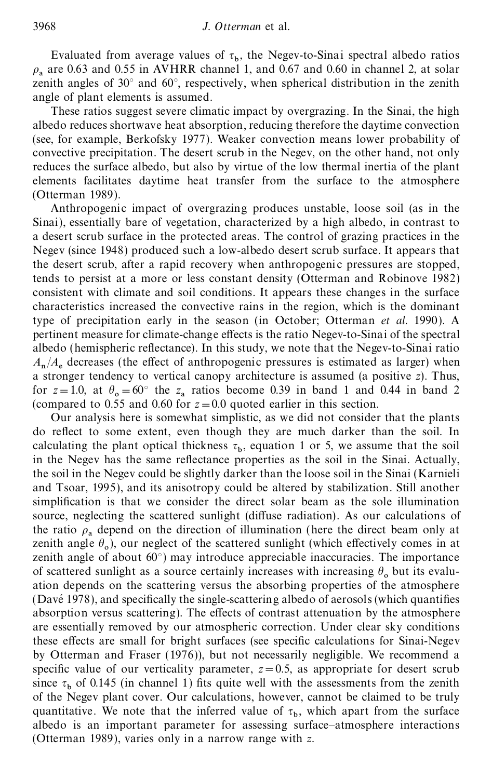Evaluated from average values of  $\tau_b$ , the Negev-to-Sinai spectral albedo ratios  $\rho_a$  are 0.63 and 0.55 in AVHRR channel 1, and 0.67 and 0.60 in channel 2, at solar  $\rho_a$  are 0.65 and 0.55 in AVHKK channel 1, and 0.67 and 0.60 in channel 2, at solar zenith angles of 30° and 60°, respectively, when spherical distribution in the zenith angle of plant elements is assumed.

These ratios suggest severe climatic impact by overgrazing. In the Sinai, the high albedo reduces shortwave heat absorption, reducing therefore the daytime convection (see, for example, Berkofsky 1977). Weaker convection means lower probability of convective precipitation. The desert scrub in the Negev, on the other hand, not only reduces the surface albedo, but also by virtue of the low thermal inertia of the plant elements facilitates daytime heat transfer from the surface to the atmosphere (Otterman 1989).

Anthropogenic impact of overgrazing produces unstable, loose soil (as in the Sinai), essentially bare of vegetation, characterized by a high albedo, in contrast to a desert scrub surface in the protected areas. The control of grazing practices in the Negev (since 1948) produced such a low-albedo desert scrub surface. It appears that the desert scrub, after a rapid recovery when anthropogenic pressures are stopped, tends to persist at a more or less constant density (Otterman and Robinove 1982) consistent with climate and soil conditions. It appears these changes in the surface characteristics increased the convective rains in the region, which is the dominant type of precipitation early in the season (in October; Otterman *et al.* 1990). A pertinent measure for climate-change effects is the ratio Negev-to-Sinai of the spectral albedo (hemispheric reflectance). In this study, we note that the Negev-to-Sinai ratio  $A_n/A_e$  decreases (the effect of anthropogenic pressures is estimated as larger) when a stronger tendency to vertical canopy architecture is assumed (a positive *z*). Thus, for  $z=1.0$ , at  $\theta_o = 60^\circ$  the  $z_a$  ratios become 0.39 in band 1 and 0.44 in band 2 (compared to 0.55 and 0.60 for  $z=0.0$  quoted earlier in this section.

Our analysis here is somewhat simplistic, as we did not consider that the plants do reflect to some extent, even though they are much darker than the soil. In calculating the plant optical thickness  $\tau_b$ , equation 1 or 5, we assume that the soil in the Negev has the same reflectance properties as the soil in the Sinai. Actually, the soil in the Negev could be slightly darker than the loose soil in the Sinai (Karnieli and Tsoar, 1995), and its anisotropy could be altered by stabilization. Still another simplication is that we consider the direct solar beam as the sole illumination source, neglecting the scattered sunlight (diffuse radiation). As our calculations of the ratio  $\rho_a$  depend on the direction of illumination (here the direct beam only at zenith angle  $\theta_0$ ), our neglect of the scattered sunlight (which effectively comes in at zenith angle of about  $60^{\circ}$ ) may introduce appreciable inaccuracies. The importance of scattered sunlight as a source certainly increases with increasing  $\theta_0$  but its evaluation depends on the scattering versus the absorbing properties of the atmosphere  $(Da**v**é 1978)$ , and specifically the single-scattering albedo of aerosols (which quantifies absorption versus scattering). The effects of contrast attenuation by the atmosphere are essentially removed by our atmospheric correction. Under clear sky conditions these effects are small for bright surfaces (see specific calculations for Sinai-Negev by Otterman and Fraser (1976)), but not necessarily negligible. We recommend a specific value of our verticality parameter,  $z = 0.5$ , as appropriate for desert scrub since  $\tau_b$  of 0.145 (in channel 1) fits quite well with the assessments from the zenith of the Negev plant cover. Our calculations, however, cannot be claimed to be truly quantitative. We note that the inferred value of  $\tau_b$ , which apart from the surface albedo is an important parameter for assessing surface–atmosphere interactions (Otterman 1989), varies only in a narrow range with *z*.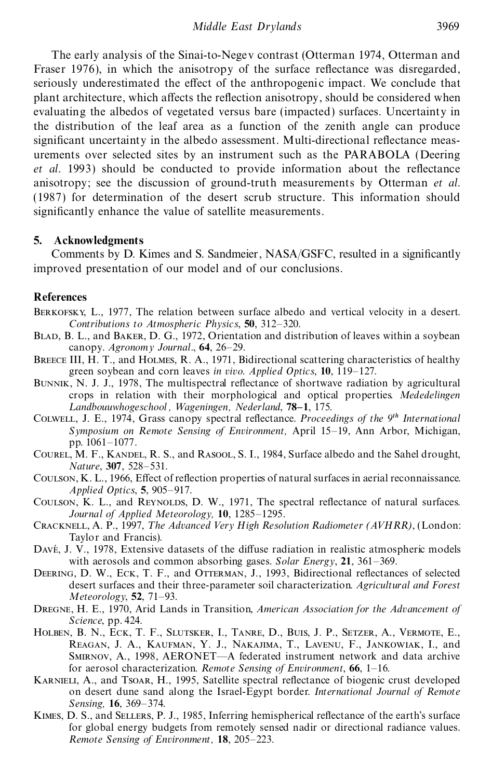The early analysis of the Sinai-to-Negev contrast (Otterman 1974, Otterman and Fraser 1976), in which the anisotropy of the surface reflectance was disregarded, seriously underestimated the effect of the anthropogenic impact. We conclude that plant architecture, which affects the reflection anisotropy, should be considered when evaluating the albedos of vegetated versus bare (impacted) surfaces. Uncertainty in the distribution of the leaf area as a function of the zenith angle can produce significant uncertainty in the albedo assessment. Multi-directional reflectance measurements over selected sites by an instrument such as the PARABOLA (Deering *et al.* 1993) should be conducted to provide information about the reflectance anisotropy; see the discussion of ground-truth measurements by Otterman *et al*. (1987) for determination of the desert scrub structure. This information should significantly enhance the value of satellite measurements.

## **5. Acknowledgments**

Comments by D. Kimes and S. Sandmeier, NASA/GSFC, resulted in a signicantly improved presentation of our model and of our conclusions.

## **References**

- Berkofsky, L., 1977, The relation between surface albedo and vertical velocity in a desert. *Contributions to Atmospheric Physics*, **50**, 312–320.
- BLAD, B. L., and BAKER, D. G., 1972, Orientation and distribution of leaves within a soybean canopy. *Agronomy Journal.*, **64**, 26–29.
- BREECE III, H. T., and HOLMES, R. A., 1971, Bidirectional scattering characteristics of healthy green soybean and corn leaves *in vivo. Applied Optics*, **10**, 119–127.
- BUNNIK, N. J. J., 1978, The multispectral reflectance of shortwave radiation by agricultural crops in relation with their morphological and optical properties. *Mededelingen L andbouuwhogeschool , Wageningen, Nederland*, **78–1**, 175.
- COLWELL, J. E., 1974, Grass canopy spectral reflectance. *Proceedings of the 9<sup>th</sup> International Symposium on Remote Sensing of Environment,* April 15–19, Ann Arbor, Michigan, pp. 1061–1077.
- COUREL, M. F., KANDEL, R. S., and RASOOL, S. I., 1984, Surface albedo and the Sahel drought, *Nature*, **307**, 528–531.
- Coulson, K. L., 1966, Effect of reflection properties of natural surfaces in aerial reconnaissance. *Applied Optics*, **5**, 905–917.
- COULSON, K. L., and REYNOLDS, D. W., 1971, The spectral reflectance of natural surfaces. *Journal of Applied Meteorology,* **10**, 1285–1295.
- Cracknell, A. P., 1997, *T he Advanced Very High Resolution Radiometer (AVHRR)*, (London: Taylor and Francis).
- Davé, J. V., 1978, Extensive datasets of the diffuse radiation in realistic atmospheric models with aerosols and common absorbing gases. *Solar Energy*, **21**, 361–369.
- DEERING, D. W., ECK, T. F., and OTTERMAN, J., 1993, Bidirectional reflectances of selected desert surfaces and their three-parameter soil characterization. *Agricultural and Forest Meteorology*, **52**, 71–93.
- Dregne, H. E., 1970, Arid Lands in Transition, *American Association for the Advancement of Science*, pp. 424.
- Holben, B. N., Eck, T. F., Slutsker, I., Tanre, D., Buis, J. P., Setzer, A., Vermote, E., Reagan, J. A., Kaufman, Y. J., Nakajima, T., Lavenu, F., Jankowiak, I., and Smirnov, A., 1998, AERONET—A federated instrument network and data archive for aerosol characterization. *Remote Sensing of Environment*, **66**, 1–16.
- KARNIELI, A., and TSOAR, H., 1995, Satellite spectral reflectance of biogenic crust developed on desert dune sand along the Israel-Egypt border. *International Journal of Remote Sensing,* **16**, 369–374.
- KIMES, D. S., and SELLERS, P. J., 1985, Inferring hemispherical reflectance of the earth's surface for global energy budgets from remotely sensed nadir or directional radiance values. *Remote Sensing of Environment,* **18**, 205–223.